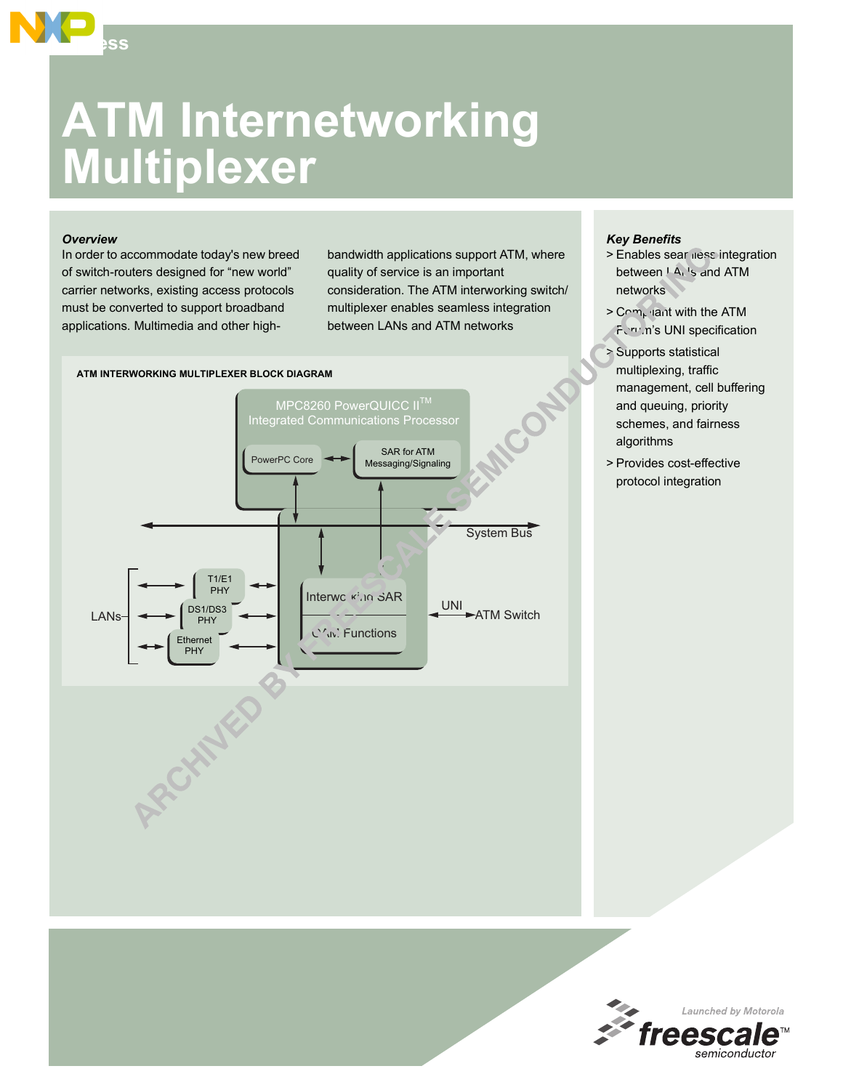# **ATM Internetworking Multiplexer**

#### *Overview*

**Access**

In order to accommodate today's new breed of switch-routers designed for "new world" carrier networks, existing access protocols must be converted to support broadband applications. Multimedia and other high-

bandwidth applications support ATM, where quality of service is an important consideration. The ATM interworking switch/ multiplexer enables seamless integration between LANs and ATM networks

## MPC8260 PowerQUICC II™ ntegrated Communications Processor PowerPC Core SAR for ATM Messaging/Signaling Interworking  $SAR$ C<sup>'</sup>W. Functions T1/E1 PHY DS1/DS3 **PHY Ethernet PHY**  $\left| \right|$   $\left| \right|$   $\left| \right|$   $\left| \right|$   $\left| \right|$   $\left| \right|$   $\left| \right|$   $\left| \right|$   $\left| \right|$   $\left| \right|$   $\left| \right|$   $\left| \right|$   $\left| \right|$   $\left| \right|$   $\left| \right|$   $\left| \right|$   $\left| \right|$   $\left| \right|$   $\left| \right|$   $\left| \right|$   $\left| \right|$   $\left| \right|$   $\left| \right|$   $\left| \right|$   $\left| \$ UNI System Bus **ATM INTERWORKING MULTIPLEXER BLOCK DIAGRAM**

### *Key Benefits*

- > Enables sear ness integration between  $I$  A<sub>1</sub> 's and ATM networks
- $> C \sim m_b$  iant with the ATM Forum's UNI specification
- > Supports statistical multiplexing, traffic management, cell buffering and queuing, priority schemes, and fairness algorithms
- > Provides cost-effective protocol integration

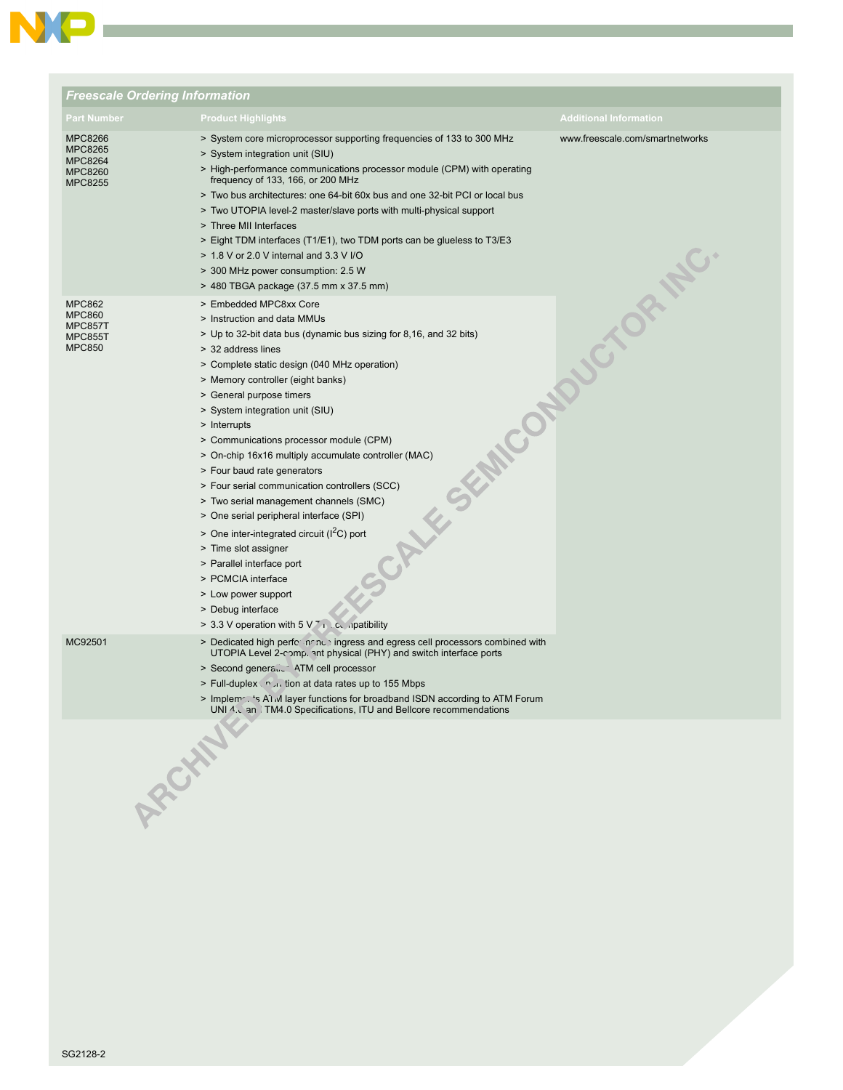

| <b>Freescale Ordering Information</b>                                        |                                                                                                                                                                                                                                                                                                                                                                                                                                                                                                                                                                                                                                                                                                                                                                                                                                 |                                 |
|------------------------------------------------------------------------------|---------------------------------------------------------------------------------------------------------------------------------------------------------------------------------------------------------------------------------------------------------------------------------------------------------------------------------------------------------------------------------------------------------------------------------------------------------------------------------------------------------------------------------------------------------------------------------------------------------------------------------------------------------------------------------------------------------------------------------------------------------------------------------------------------------------------------------|---------------------------------|
| <b>Part Number</b>                                                           | <b>Product Highlights</b>                                                                                                                                                                                                                                                                                                                                                                                                                                                                                                                                                                                                                                                                                                                                                                                                       | <b>Additional Information</b>   |
| MPC8266<br><b>MPC8265</b><br>MPC8264<br><b>MPC8260</b><br><b>MPC8255</b>     | > System core microprocessor supporting frequencies of 133 to 300 MHz<br>> System integration unit (SIU)<br>> High-performance communications processor module (CPM) with operating<br>frequency of 133, 166, or 200 MHz<br>> Two bus architectures: one 64-bit 60x bus and one 32-bit PCI or local bus<br>> Two UTOPIA level-2 master/slave ports with multi-physical support<br>> Three MII Interfaces<br>> Eight TDM interfaces (T1/E1), two TDM ports can be glueless to T3/E3<br>> 1.8 V or 2.0 V internal and 3.3 V I/O<br>> 300 MHz power consumption: 2.5 W<br>> 480 TBGA package (37.5 mm x 37.5 mm)                                                                                                                                                                                                                   | www.freescale.com/smartnetworks |
| <b>MPC862</b><br><b>MPC860</b><br>MPC857T<br><b>MPC855T</b><br><b>MPC850</b> | > Embedded MPC8xx Core<br>> Instruction and data MMUs<br>> Up to 32-bit data bus (dynamic bus sizing for 8,16, and 32 bits)<br>> 32 address lines<br>> Complete static design (040 MHz operation)<br>> Memory controller (eight banks)<br>> General purpose timers<br>> System integration unit (SIU)<br>> Interrupts<br>> Communications processor module (CPM)<br>> On-chip 16x16 multiply accumulate controller (MAC)<br>> Four baud rate generators<br>> Four serial communication controllers (SCC)<br>> Two serial management channels (SMC)<br>> One serial peripheral interface (SPI)<br>> One inter-integrated circuit ( $I2C$ ) port<br>> Time slot assigner<br>> Parallel interface port<br>> PCMCIA interface<br>> Low power support<br>> Debug interface<br>> 3.3 V operation with $5 \sqrt{7}$ in Lcc ipatibility | SEMICONDUCTOR NC.               |
| MC92501                                                                      | > Dedicated high performance ingress and egress cell processors combined with<br>UTOPIA Level 2-comp. ant physical (PHY) and switch interface ports<br>> Second general ATM cell processor<br>> Full-duplex nutrition at data rates up to 155 Mbps<br>> Implem  's A1 M layer functions for broadband ISDN according to ATM Forum<br>UNI 4. Lan TM4.0 Specifications, ITU and Bellcore recommendations                                                                                                                                                                                                                                                                                                                                                                                                                          |                                 |
| ARCHAN                                                                       |                                                                                                                                                                                                                                                                                                                                                                                                                                                                                                                                                                                                                                                                                                                                                                                                                                 |                                 |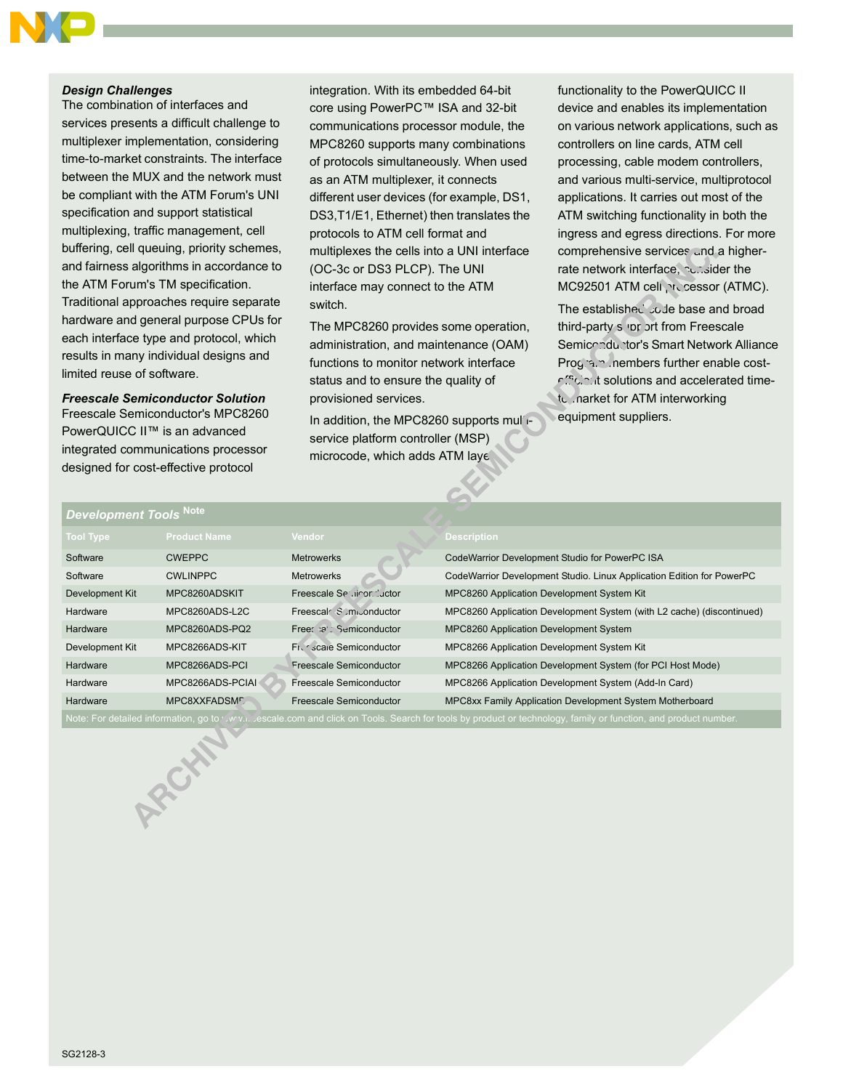#### *Design Challenges*

The combination of interfaces and services presents a difficult challenge to multiplexer implementation, considering time-to-market constraints. The interface between the MUX and the network must be compliant with the ATM Forum's UNI specification and support statistical multiplexing, traffic management, cell buffering, cell queuing, priority schemes, and fairness algorithms in accordance to the ATM Forum's TM specification. Traditional approaches require separate hardware and general purpose CPUs for each interface type and protocol, which results in many individual designs and limited reuse of software.

#### *Freescale Semiconductor Solution*

Freescale Semiconductor's MPC8260 PowerQUICC II™ is an advanced integrated communications processor designed for cost-effective protocol

*Development Tools* **Note**

integration. With its embedded 64-bit core using PowerPC™ ISA and 32-bit communications processor module, the MPC8260 supports many combinations of protocols simultaneously. When used as an ATM multiplexer, it connects different user devices (for example, DS1, DS3,T1/E1, Ethernet) then translates the protocols to ATM cell format and multiplexes the cells into a UNI interface (OC-3c or DS3 PLCP). The UNI interface may connect to the ATM switch.

The MPC8260 provides some operation, administration, and maintenance (OAM) functions to monitor network interface status and to ensure the quality of provisioned services.

In addition, the MPC8260 supports multiservice platform controller (MSP) microcode, which adds ATM laye

functionality to the PowerQUICC II device and enables its implementation on various network applications, such as controllers on line cards, ATM cell processing, cable modem controllers, and various multi-service, multiprotocol applications. It carries out most of the ATM switching functionality in both the ingress and egress directions. For more comprehensive services and a higherrate network interface. consider the MC92501 ATM cell processor (ATMC).

The established code base and broad third-party support from Freescale Semiconductor's Smart Network Alliance Program members further enable costefficient solutions and accelerated timeto .narket for ATM interworking equipment suppliers.

| PUTUNUNIN TUUN                                                                                                                                                  |                     |                           |                                                                       |  |
|-----------------------------------------------------------------------------------------------------------------------------------------------------------------|---------------------|---------------------------|-----------------------------------------------------------------------|--|
| <b>Tool Type</b>                                                                                                                                                | <b>Product Name</b> | Vendor                    | <b>Description</b>                                                    |  |
| Software                                                                                                                                                        | <b>CWEPPC</b>       | <b>Metrowerks</b>         | CodeWarrior Development Studio for PowerPC ISA                        |  |
| Software                                                                                                                                                        | <b>CWLINPPC</b>     | <b>Metrowerks</b>         | CodeWarrior Development Studio. Linux Application Edition for PowerPC |  |
| Development Kit                                                                                                                                                 | MPC8260ADSKIT       | Freescale Se diror Juctor | MPC8260 Application Development System Kit                            |  |
| Hardware                                                                                                                                                        | MPC8260ADS-L2C      | Freescal Somponductor     | MPC8260 Application Development System (with L2 cache) (discontinued) |  |
| Hardware                                                                                                                                                        | MPC8260ADS-PQ2      | Free: : a', Semiconductor | MPC8260 Application Development System                                |  |
| Development Kit                                                                                                                                                 | MPC8266ADS-KIT      | Fig. scale Semiconductor  | MPC8266 Application Development System Kit                            |  |
| Hardware                                                                                                                                                        | MPC8266ADS-PCI      | Freescale Semiconductor   | MPC8266 Application Development System (for PCI Host Mode)            |  |
| Hardware                                                                                                                                                        | MPC8266ADS-PCIAI    | Freescale Semiconductor   | MPC8266 Application Development System (Add-In Card)                  |  |
| Hardware                                                                                                                                                        | MPC8XXFADSML        | Freescale Semiconductor   | MPC8xx Family Application Development System Motherboard              |  |
| Note: For detailed information, go to 'w'y.i. escale.com and click on Tools. Search for tools by product or technology, family or function, and product number. |                     |                           |                                                                       |  |